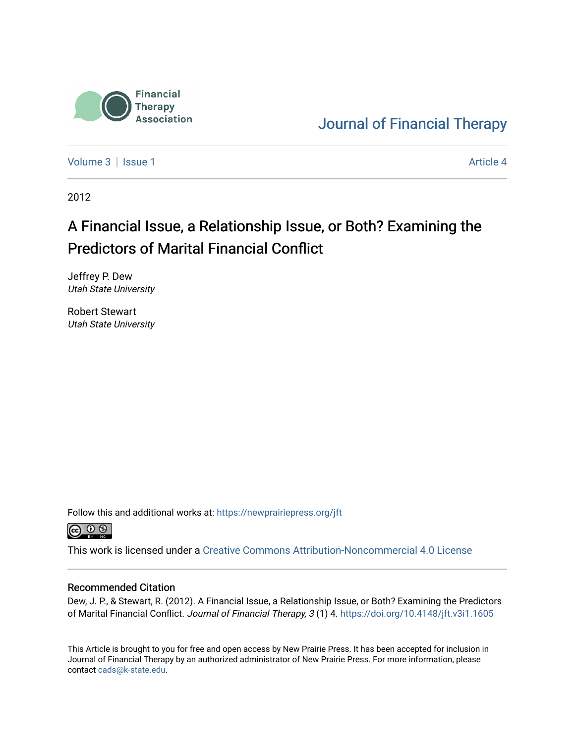

[Journal of Financial Therapy](https://newprairiepress.org/jft) 

[Volume 3](https://newprairiepress.org/jft/vol3) | [Issue 1](https://newprairiepress.org/jft/vol3/iss1) Article 4

2012

# A Financial Issue, a Relationship Issue, or Both? Examining the Predictors of Marital Financial Conflict

Jeffrey P. Dew Utah State University

Robert Stewart Utah State University

Follow this and additional works at: [https://newprairiepress.org/jft](https://newprairiepress.org/jft?utm_source=newprairiepress.org%2Fjft%2Fvol3%2Fiss1%2F4&utm_medium=PDF&utm_campaign=PDFCoverPages)



This work is licensed under a [Creative Commons Attribution-Noncommercial 4.0 License](https://creativecommons.org/licenses/by-nc/4.0/)

#### Recommended Citation

Dew, J. P., & Stewart, R. (2012). A Financial Issue, a Relationship Issue, or Both? Examining the Predictors of Marital Financial Conflict. Journal of Financial Therapy, 3 (1) 4. <https://doi.org/10.4148/jft.v3i1.1605>

This Article is brought to you for free and open access by New Prairie Press. It has been accepted for inclusion in Journal of Financial Therapy by an authorized administrator of New Prairie Press. For more information, please contact [cads@k-state.edu](mailto:cads@k-state.edu).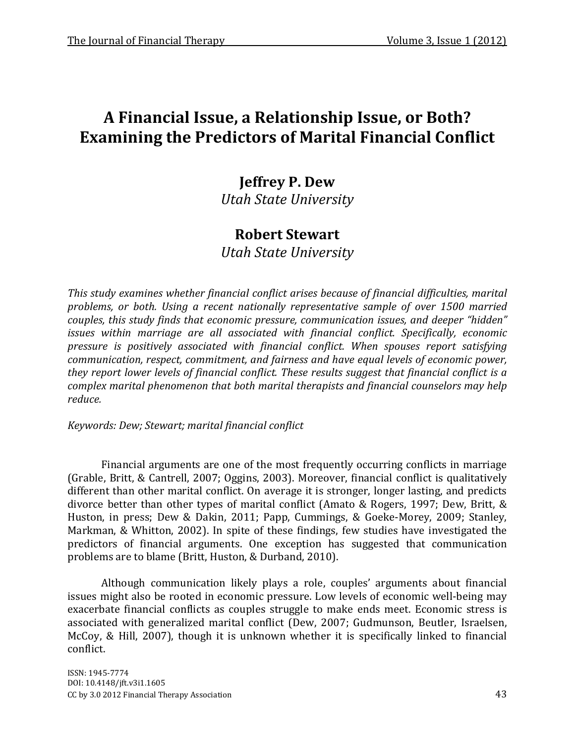# **A Financial Issue, a Relationship Issue, or Both? Examining the Predictors of Marital Financial Conflict**

# **Jeffrey P. Dew**

*Utah State University*

# **Robert Stewart**

*Utah State University*

*This study examines whether financial conflict arises because of financial difficulties, marital problems, or both. Using a recent nationally representative sample of over 1500 married couples, this study finds that economic pressure, communication issues, and deeper "hidden" issues within marriage are all associated with financial conflict. Specifically, economic pressure is positively associated with financial conflict. When spouses report satisfying communication, respect, commitment, and fairness and have equal levels of economic power, they report lower levels of financial conflict. These results suggest that financial conflict is a complex marital phenomenon that both marital therapists and financial counselors may help reduce.*

*Keywords: Dew; Stewart; marital financial conflict*

Financial arguments are one of the most frequently occurring conflicts in marriage (Grable, Britt, & Cantrell, 2007; Oggins, 2003). Moreover, financial conflict is qualitatively different than other marital conflict. On average it is stronger, longer lasting, and predicts divorce better than other types of marital conflict (Amato & Rogers, 1997; Dew, Britt, & Huston, in press; Dew & Dakin, 2011; Papp, Cummings, & Goeke-Morey, 2009; Stanley, Markman, & Whitton, 2002). In spite of these findings, few studies have investigated the predictors of financial arguments. One exception has suggested that communication problems are to blame (Britt, Huston, & Durband, 2010).

Although communication likely plays a role, couples' arguments about financial issues might also be rooted in economic pressure. Low levels of economic well-being may exacerbate financial conflicts as couples struggle to make ends meet. Economic stress is associated with generalized marital conflict (Dew, 2007; Gudmunson, Beutler, Israelsen, McCoy, & Hill, 2007), though it is unknown whether it is specifically linked to financial conflict.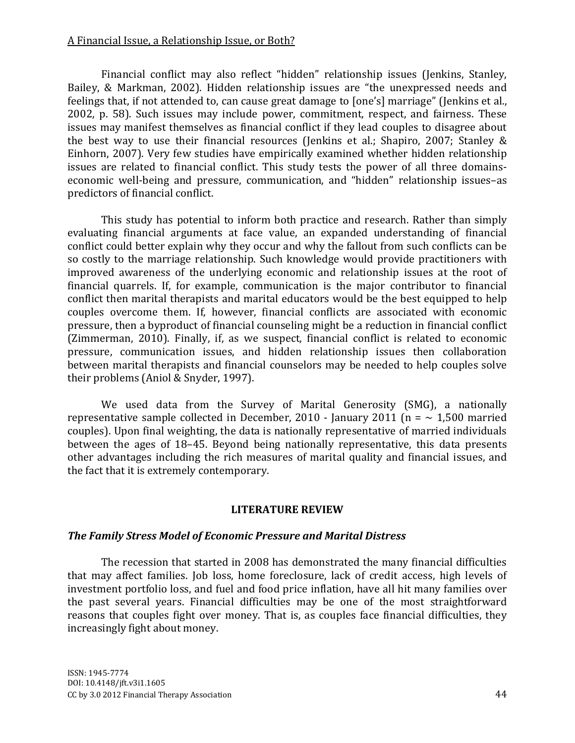### A Financial Issue, a Relationship Issue, or Both?

Financial conflict may also reflect "hidden" relationship issues (Jenkins, Stanley, Bailey, & Markman, 2002). Hidden relationship issues are "the unexpressed needs and feelings that, if not attended to, can cause great damage to [one's] marriage" (Jenkins et al., 2002, p. 58). Such issues may include power, commitment, respect, and fairness. These issues may manifest themselves as financial conflict if they lead couples to disagree about the best way to use their financial resources (Jenkins et al.; Shapiro, 2007; Stanley & Einhorn, 2007). Very few studies have empirically examined whether hidden relationship issues are related to financial conflict. This study tests the power of all three domainseconomic well-being and pressure, communication, and "hidden" relationship issues–as predictors of financial conflict.

This study has potential to inform both practice and research. Rather than simply evaluating financial arguments at face value, an expanded understanding of financial conflict could better explain why they occur and why the fallout from such conflicts can be so costly to the marriage relationship. Such knowledge would provide practitioners with improved awareness of the underlying economic and relationship issues at the root of financial quarrels. If, for example, communication is the major contributor to financial conflict then marital therapists and marital educators would be the best equipped to help couples overcome them. If, however, financial conflicts are associated with economic pressure, then a byproduct of financial counseling might be a reduction in financial conflict (Zimmerman, 2010). Finally, if, as we suspect, financial conflict is related to economic pressure, communication issues, and hidden relationship issues then collaboration between marital therapists and financial counselors may be needed to help couples solve their problems (Aniol & Snyder, 1997).

We used data from the Survey of Marital Generosity (SMG), a nationally representative sample collected in December, 2010 - January 2011 (n =  $\sim$  1,500 married couples). Upon final weighting, the data is nationally representative of married individuals between the ages of 18–45. Beyond being nationally representative, this data presents other advantages including the rich measures of marital quality and financial issues, and the fact that it is extremely contemporary.

### **LITERATURE REVIEW**

#### *The Family Stress Model of Economic Pressure and Marital Distress*

The recession that started in 2008 has demonstrated the many financial difficulties that may affect families. Job loss, home foreclosure, lack of credit access, high levels of investment portfolio loss, and fuel and food price inflation, have all hit many families over the past several years. Financial difficulties may be one of the most straightforward reasons that couples fight over money. That is, as couples face financial difficulties, they increasingly fight about money.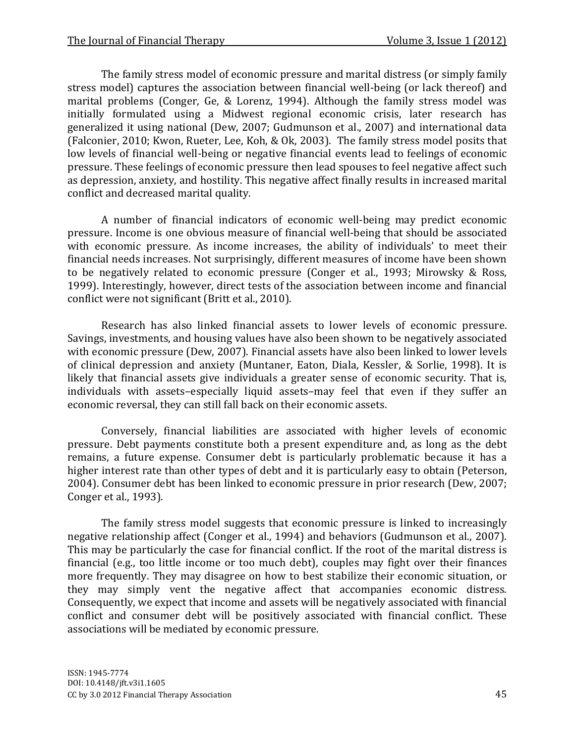The family stress model of economic pressure and marital distress (or simply family stress model) captures the association between financial well-being (or lack thereof) and marital problems (Conger, Ge, & Lorenz, 1994). Although the family stress model was initially formulated using a Midwest regional economic crisis, later research has generalized it using national (Dew, 2007; Gudmunson et al., 2007) and international data (Falconier, 2010; Kwon, Rueter, Lee, Koh, & Ok, 2003). The family stress model posits that low levels of financial well-being or negative financial events lead to feelings of economic pressure. These feelings of economic pressure then lead spouses to feel negative affect such as depression, anxiety, and hostility. This negative affect finally results in increased marital conflict and decreased marital quality.

A number of financial indicators of economic well-being may predict economic pressure. Income is one obvious measure of financial well-being that should be associated with economic pressure. As income increases, the ability of individuals' to meet their financial needs increases. Not surprisingly, different measures of income have been shown to be negatively related to economic pressure (Conger et al., 1993; Mirowsky & Ross, 1999). Interestingly, however, direct tests of the association between income and financial conflict were not significant (Britt et al., 2010).

Research has also linked financial assets to lower levels of economic pressure. Savings, investments, and housing values have also been shown to be negatively associated with economic pressure (Dew, 2007). Financial assets have also been linked to lower levels of clinical depression and anxiety (Muntaner, Eaton, Diala, Kessler, & Sorlie, 1998). It is likely that financial assets give individuals a greater sense of economic security. That is, individuals with assets–especially liquid assets–may feel that even if they suffer an economic reversal, they can still fall back on their economic assets.

Conversely, financial liabilities are associated with higher levels of economic pressure. Debt payments constitute both a present expenditure and, as long as the debt remains, a future expense. Consumer debt is particularly problematic because it has a higher interest rate than other types of debt and it is particularly easy to obtain (Peterson, 2004). Consumer debt has been linked to economic pressure in prior research (Dew, 2007; Conger et al., 1993).

The family stress model suggests that economic pressure is linked to increasingly negative relationship affect (Conger et al., 1994) and behaviors (Gudmunson et al., 2007). This may be particularly the case for financial conflict. If the root of the marital distress is financial (e.g., too little income or too much debt), couples may fight over their finances more frequently. They may disagree on how to best stabilize their economic situation, or they may simply vent the negative affect that accompanies economic distress. Consequently, we expect that income and assets will be negatively associated with financial conflict and consumer debt will be positively associated with financial conflict. These associations will be mediated by economic pressure.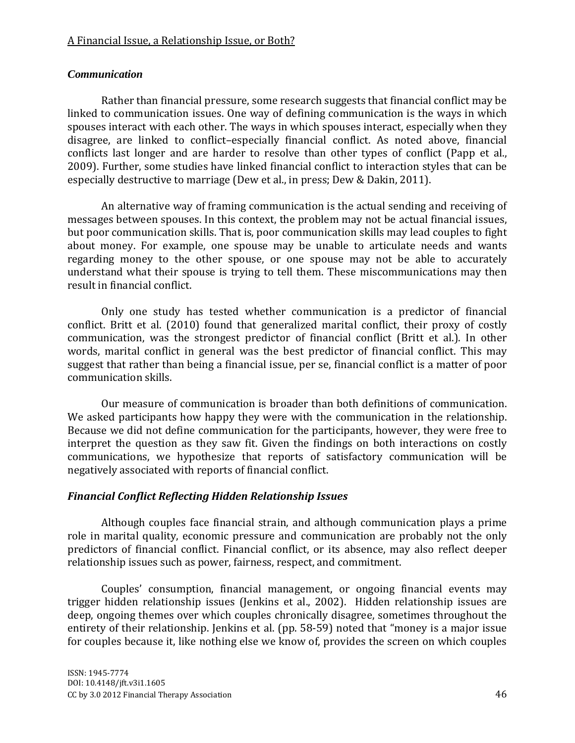## A Financial Issue, a Relationship Issue, or Both?

### *Communication*

Rather than financial pressure, some research suggests that financial conflict may be linked to communication issues. One way of defining communication is the ways in which spouses interact with each other. The ways in which spouses interact, especially when they disagree, are linked to conflict–especially financial conflict. As noted above, financial conflicts last longer and are harder to resolve than other types of conflict (Papp et al., 2009). Further, some studies have linked financial conflict to interaction styles that can be especially destructive to marriage (Dew et al., in press; Dew & Dakin, 2011).

An alternative way of framing communication is the actual sending and receiving of messages between spouses. In this context, the problem may not be actual financial issues, but poor communication skills. That is, poor communication skills may lead couples to fight about money. For example, one spouse may be unable to articulate needs and wants regarding money to the other spouse, or one spouse may not be able to accurately understand what their spouse is trying to tell them. These miscommunications may then result in financial conflict.

Only one study has tested whether communication is a predictor of financial conflict. Britt et al. (2010) found that generalized marital conflict, their proxy of costly communication, was the strongest predictor of financial conflict (Britt et al.). In other words, marital conflict in general was the best predictor of financial conflict. This may suggest that rather than being a financial issue, per se, financial conflict is a matter of poor communication skills.

Our measure of communication is broader than both definitions of communication. We asked participants how happy they were with the communication in the relationship. Because we did not define communication for the participants, however, they were free to interpret the question as they saw fit. Given the findings on both interactions on costly communications, we hypothesize that reports of satisfactory communication will be negatively associated with reports of financial conflict.

### *Financial Conflict Reflecting Hidden Relationship Issues*

Although couples face financial strain, and although communication plays a prime role in marital quality, economic pressure and communication are probably not the only predictors of financial conflict. Financial conflict, or its absence, may also reflect deeper relationship issues such as power, fairness, respect, and commitment.

Couples' consumption, financial management, or ongoing financial events may trigger hidden relationship issues (Jenkins et al., 2002). Hidden relationship issues are deep, ongoing themes over which couples chronically disagree, sometimes throughout the entirety of their relationship. Jenkins et al. (pp. 58-59) noted that "money is a major issue for couples because it, like nothing else we know of, provides the screen on which couples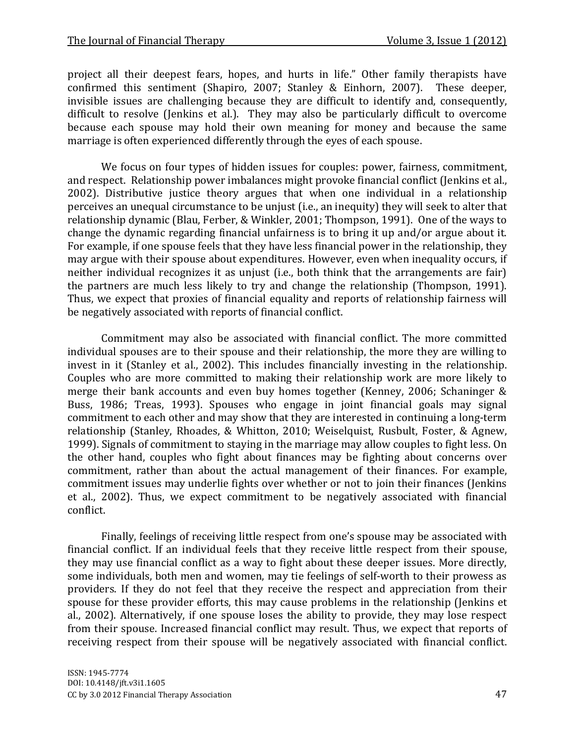project all their deepest fears, hopes, and hurts in life." Other family therapists have confirmed this sentiment (Shapiro, 2007; Stanley & Einhorn, 2007). These deeper, invisible issues are challenging because they are difficult to identify and, consequently, difficult to resolve (Jenkins et al.). They may also be particularly difficult to overcome because each spouse may hold their own meaning for money and because the same marriage is often experienced differently through the eyes of each spouse.

We focus on four types of hidden issues for couples: power, fairness, commitment, and respect. Relationship power imbalances might provoke financial conflict (Jenkins et al., 2002). Distributive justice theory argues that when one individual in a relationship perceives an unequal circumstance to be unjust (i.e., an inequity) they will seek to alter that relationship dynamic (Blau, Ferber, & Winkler, 2001; Thompson, 1991). One of the ways to change the dynamic regarding financial unfairness is to bring it up and/or argue about it. For example, if one spouse feels that they have less financial power in the relationship, they may argue with their spouse about expenditures. However, even when inequality occurs, if neither individual recognizes it as unjust (i.e., both think that the arrangements are fair) the partners are much less likely to try and change the relationship (Thompson, 1991). Thus, we expect that proxies of financial equality and reports of relationship fairness will be negatively associated with reports of financial conflict.

Commitment may also be associated with financial conflict. The more committed individual spouses are to their spouse and their relationship, the more they are willing to invest in it (Stanley et al., 2002). This includes financially investing in the relationship. Couples who are more committed to making their relationship work are more likely to merge their bank accounts and even buy homes together (Kenney, 2006; Schaninger & Buss, 1986; Treas, 1993). Spouses who engage in joint financial goals may signal commitment to each other and may show that they are interested in continuing a long-term relationship (Stanley, Rhoades, & Whitton, 2010; Weiselquist, Rusbult, Foster, & Agnew, 1999). Signals of commitment to staying in the marriage may allow couples to fight less. On the other hand, couples who fight about finances may be fighting about concerns over commitment, rather than about the actual management of their finances. For example, commitment issues may underlie fights over whether or not to join their finances (Jenkins et al., 2002). Thus, we expect commitment to be negatively associated with financial conflict.

Finally, feelings of receiving little respect from one's spouse may be associated with financial conflict. If an individual feels that they receive little respect from their spouse, they may use financial conflict as a way to fight about these deeper issues. More directly, some individuals, both men and women, may tie feelings of self-worth to their prowess as providers. If they do not feel that they receive the respect and appreciation from their spouse for these provider efforts, this may cause problems in the relationship (Jenkins et al., 2002). Alternatively, if one spouse loses the ability to provide, they may lose respect from their spouse. Increased financial conflict may result. Thus, we expect that reports of receiving respect from their spouse will be negatively associated with financial conflict.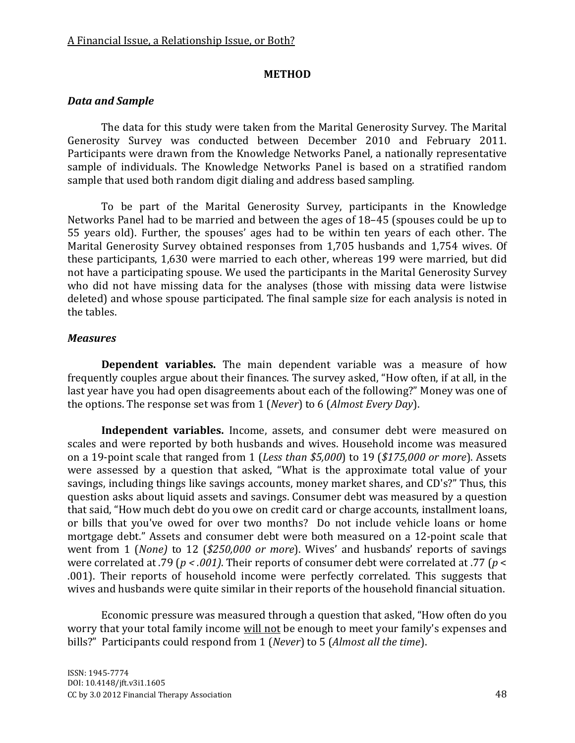#### **METHOD**

## *Data and Sample*

The data for this study were taken from the Marital Generosity Survey. The Marital Generosity Survey was conducted between December 2010 and February 2011. Participants were drawn from the Knowledge Networks Panel, a nationally representative sample of individuals. The Knowledge Networks Panel is based on a stratified random sample that used both random digit dialing and address based sampling.

To be part of the Marital Generosity Survey, participants in the Knowledge Networks Panel had to be married and between the ages of 18–45 (spouses could be up to 55 years old). Further, the spouses' ages had to be within ten years of each other. The Marital Generosity Survey obtained responses from 1,705 husbands and 1,754 wives. Of these participants, 1,630 were married to each other, whereas 199 were married, but did not have a participating spouse. We used the participants in the Marital Generosity Survey who did not have missing data for the analyses (those with missing data were listwise deleted) and whose spouse participated. The final sample size for each analysis is noted in the tables.

### *Measures*

**Dependent variables.** The main dependent variable was a measure of how frequently couples argue about their finances. The survey asked, "How often, if at all, in the last year have you had open disagreements about each of the following?" Money was one of the options. The response set was from 1 (*Never*) to 6 (*Almost Every Day*).

**Independent variables.** Income, assets, and consumer debt were measured on scales and were reported by both husbands and wives. Household income was measured on a 19-point scale that ranged from 1 (*Less than \$5,000*) to 19 (*\$175,000 or more*). Assets were assessed by a question that asked, "What is the approximate total value of your savings, including things like savings accounts, money market shares, and CD's?" Thus, this question asks about liquid assets and savings. Consumer debt was measured by a question that said, "How much debt do you owe on credit card or charge accounts, installment loans, or bills that you've owed for over two months? Do not include vehicle loans or home mortgage debt." Assets and consumer debt were both measured on a 12-point scale that went from 1 (*None)* to 12 (*\$250,000 or more*). Wives' and husbands' reports of savings were correlated at .79 (*p < .001)*. Their reports of consumer debt were correlated at .77 (*p* < .001). Their reports of household income were perfectly correlated. This suggests that wives and husbands were quite similar in their reports of the household financial situation.

Economic pressure was measured through a question that asked, "How often do you worry that your total family income will not be enough to meet your family's expenses and bills?" Participants could respond from 1 (*Never*) to 5 (*Almost all the time*).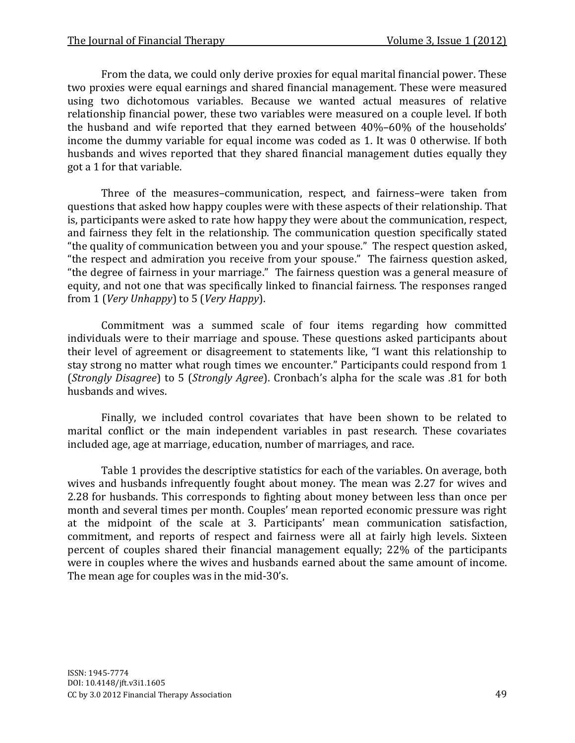From the data, we could only derive proxies for equal marital financial power. These two proxies were equal earnings and shared financial management. These were measured using two dichotomous variables. Because we wanted actual measures of relative relationship financial power, these two variables were measured on a couple level. If both the husband and wife reported that they earned between 40%–60% of the households' income the dummy variable for equal income was coded as 1. It was 0 otherwise. If both husbands and wives reported that they shared financial management duties equally they got a 1 for that variable.

Three of the measures–communication, respect, and fairness–were taken from questions that asked how happy couples were with these aspects of their relationship. That is, participants were asked to rate how happy they were about the communication, respect, and fairness they felt in the relationship. The communication question specifically stated "the quality of communication between you and your spouse." The respect question asked, "the respect and admiration you receive from your spouse." The fairness question asked, "the degree of fairness in your marriage." The fairness question was a general measure of equity, and not one that was specifically linked to financial fairness. The responses ranged from 1 (*Very Unhappy*) to 5 (*Very Happy*).

Commitment was a summed scale of four items regarding how committed individuals were to their marriage and spouse. These questions asked participants about their level of agreement or disagreement to statements like, "I want this relationship to stay strong no matter what rough times we encounter." Participants could respond from 1 (*Strongly Disagree*) to 5 (*Strongly Agree*). Cronbach's alpha for the scale was .81 for both husbands and wives.

Finally, we included control covariates that have been shown to be related to marital conflict or the main independent variables in past research. These covariates included age, age at marriage, education, number of marriages, and race.

Table 1 provides the descriptive statistics for each of the variables. On average, both wives and husbands infrequently fought about money. The mean was 2.27 for wives and 2.28 for husbands. This corresponds to fighting about money between less than once per month and several times per month. Couples' mean reported economic pressure was right at the midpoint of the scale at 3. Participants' mean communication satisfaction, commitment, and reports of respect and fairness were all at fairly high levels. Sixteen percent of couples shared their financial management equally; 22% of the participants were in couples where the wives and husbands earned about the same amount of income. The mean age for couples was in the mid-30's.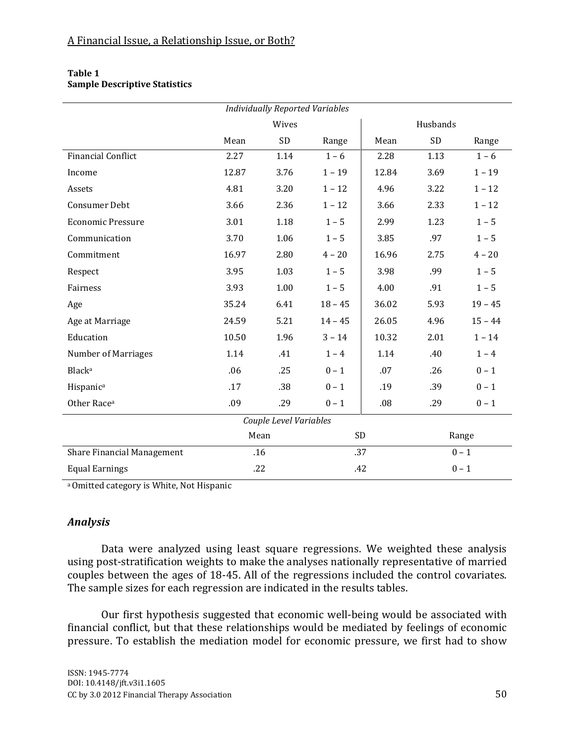| <b>Individually Reported Variables</b> |       |       |           |          |         |           |  |  |  |  |
|----------------------------------------|-------|-------|-----------|----------|---------|-----------|--|--|--|--|
|                                        |       | Wives |           | Husbands |         |           |  |  |  |  |
|                                        | Mean  | SD    | Range     | Mean     | SD      | Range     |  |  |  |  |
| <b>Financial Conflict</b>              | 2.27  | 1.14  | $1 - 6$   | 2.28     | 1.13    | $1 - 6$   |  |  |  |  |
| Income                                 | 12.87 | 3.76  | $1 - 19$  | 12.84    | 3.69    | $1 - 19$  |  |  |  |  |
| Assets                                 | 4.81  | 3.20  | $1 - 12$  | 4.96     | 3.22    | $1 - 12$  |  |  |  |  |
| Consumer Debt                          | 3.66  | 2.36  |           | 3.66     | 2.33    | $1 - 12$  |  |  |  |  |
| <b>Economic Pressure</b>               | 3.01  | 1.18  | $1 - 5$   | 2.99     | 1.23    | $1 - 5$   |  |  |  |  |
| Communication                          | 3.70  | 1.06  | $1 - 5$   | 3.85     | .97     | $1 - 5$   |  |  |  |  |
| Commitment                             | 16.97 | 2.80  | $4 - 20$  | 16.96    | 2.75    | $4 - 20$  |  |  |  |  |
| Respect                                | 3.95  | 1.03  | $1 - 5$   | 3.98     | .99     | $1 - 5$   |  |  |  |  |
| Fairness                               | 3.93  | 1.00  | $1 - 5$   | 4.00     | .91     | $1 - 5$   |  |  |  |  |
| Age                                    | 35.24 | 6.41  | $18 - 45$ | 36.02    | 5.93    | $19 - 45$ |  |  |  |  |
| Age at Marriage                        | 24.59 | 5.21  | $14 - 45$ | 26.05    | 4.96    | $15 - 44$ |  |  |  |  |
| Education                              | 10.50 | 1.96  | $3 - 14$  | 10.32    | 2.01    | $1 - 14$  |  |  |  |  |
| <b>Number of Marriages</b>             | 1.14  | .41   | $1 - 4$   | 1.14     | .40     | $1 - 4$   |  |  |  |  |
| <b>Black</b> <sup>a</sup>              | .06   | .25   | $0 - 1$   | .07      | .26     | $0 - 1$   |  |  |  |  |
| Hispanic <sup>a</sup>                  | .17   | .38   | $0 - 1$   | .19      | .39     | $0 - 1$   |  |  |  |  |
| Other Race <sup>a</sup>                | .09   | .29   | $0 - 1$   | .08      | .29     | $0 - 1$   |  |  |  |  |
| Couple Level Variables                 |       |       |           |          |         |           |  |  |  |  |
|                                        | Mean  |       | SD        |          | Range   |           |  |  |  |  |
| Share Financial Management             | .16   |       |           | .37      | $0 - 1$ |           |  |  |  |  |
| <b>Equal Earnings</b>                  | .22   |       | .42       |          | $0 - 1$ |           |  |  |  |  |

#### **Table 1 Sample Descriptive Statistics**

a Omitted category is White, Not Hispanic

# *Analysis*

Data were analyzed using least square regressions. We weighted these analysis using post-stratification weights to make the analyses nationally representative of married couples between the ages of 18-45. All of the regressions included the control covariates. The sample sizes for each regression are indicated in the results tables.

Our first hypothesis suggested that economic well-being would be associated with financial conflict, but that these relationships would be mediated by feelings of economic pressure. To establish the mediation model for economic pressure, we first had to show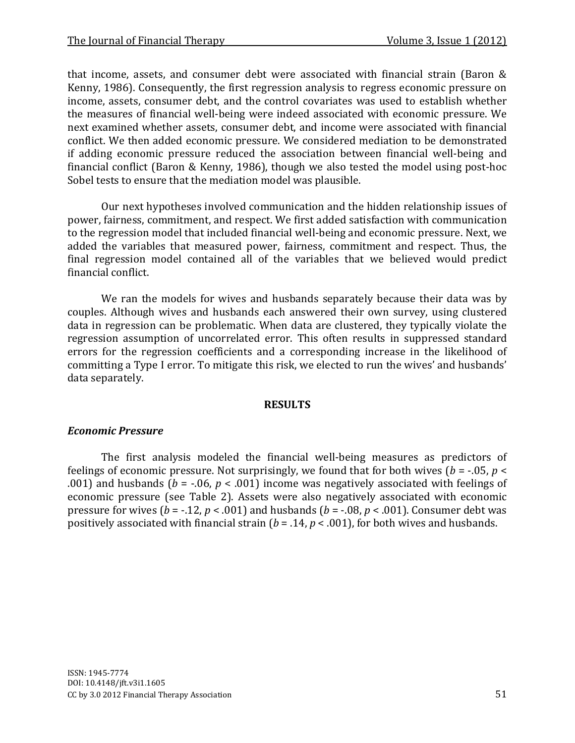that income, assets, and consumer debt were associated with financial strain (Baron & Kenny, 1986). Consequently, the first regression analysis to regress economic pressure on income, assets, consumer debt, and the control covariates was used to establish whether the measures of financial well-being were indeed associated with economic pressure. We next examined whether assets, consumer debt, and income were associated with financial conflict. We then added economic pressure. We considered mediation to be demonstrated if adding economic pressure reduced the association between financial well-being and financial conflict (Baron & Kenny, 1986), though we also tested the model using post-hoc Sobel tests to ensure that the mediation model was plausible.

Our next hypotheses involved communication and the hidden relationship issues of power, fairness, commitment, and respect. We first added satisfaction with communication to the regression model that included financial well-being and economic pressure. Next, we added the variables that measured power, fairness, commitment and respect. Thus, the final regression model contained all of the variables that we believed would predict financial conflict.

We ran the models for wives and husbands separately because their data was by couples. Although wives and husbands each answered their own survey, using clustered data in regression can be problematic. When data are clustered, they typically violate the regression assumption of uncorrelated error. This often results in suppressed standard errors for the regression coefficients and a corresponding increase in the likelihood of committing a Type I error. To mitigate this risk, we elected to run the wives' and husbands' data separately.

#### **RESULTS**

### *Economic Pressure*

The first analysis modeled the financial well-being measures as predictors of feelings of economic pressure. Not surprisingly, we found that for both wives (*b* = -.05, *p* < .001) and husbands (*b* = -.06, *p* < .001) income was negatively associated with feelings of economic pressure (see Table 2). Assets were also negatively associated with economic pressure for wives ( $b = -.12$ ,  $p < .001$ ) and husbands ( $b = -.08$ ,  $p < .001$ ). Consumer debt was positively associated with financial strain (*b* = .14, *p* < .001), for both wives and husbands.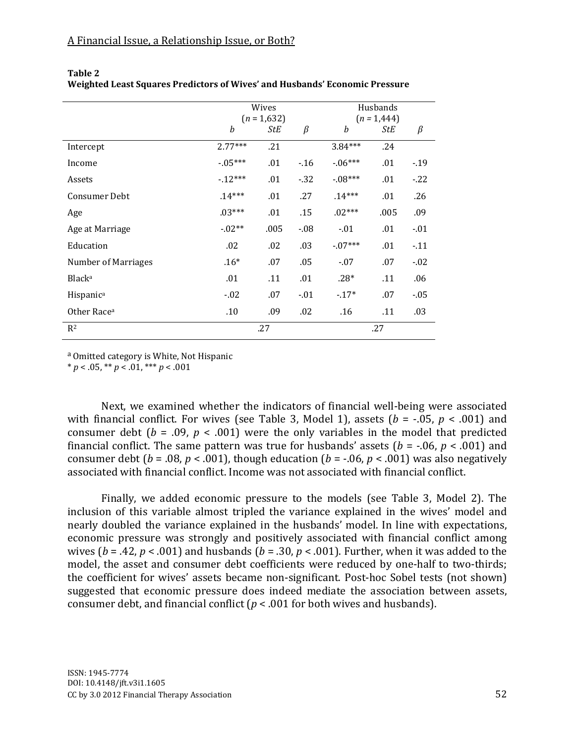|                            |           | Wives<br>$(n = 1,632)$ |         | Husbands<br>$(n = 1,444)$ |      |        |  |  |
|----------------------------|-----------|------------------------|---------|---------------------------|------|--------|--|--|
|                            | b         | StE                    | $\beta$ | b                         | StE  | β      |  |  |
| Intercept                  | $2.77***$ | .21                    |         | $3.84***$                 | .24  |        |  |  |
| Income                     | $-05***$  | .01                    | $-16$   | $-06***$                  | .01  | $-19$  |  |  |
| Assets                     | $-12***$  | .01                    | $-32$   | $-08***$                  | .01  | $-22$  |  |  |
| <b>Consumer Debt</b>       | $.14***$  | .01                    | .27     | $.14***$                  | .01  | .26    |  |  |
| Age                        | $.03***$  | .01                    | .15     | $.02***$                  | .005 | .09    |  |  |
| Age at Marriage            | $-02**$   | .005                   | $-0.08$ | $-01$                     | .01  | $-.01$ |  |  |
| Education                  | .02       | .02                    | .03     | $-07***$                  | .01  | $-11$  |  |  |
| <b>Number of Marriages</b> | $.16*$    | .07                    | .05     | $-07$                     | .07  | $-02$  |  |  |
| Black <sup>a</sup>         | .01       | .11                    | .01     | $.28*$                    | .11  | .06    |  |  |
| Hispanica                  | $-0.02$   | .07                    | $-0.01$ | $-17*$                    | .07  | $-05$  |  |  |
| Other Race <sup>a</sup>    | .10       | .09                    | .02     | .16                       | .11  | .03    |  |  |
| R <sup>2</sup>             |           | .27                    |         | .27                       |      |        |  |  |

**Table 2 Weighted Least Squares Predictors of Wives' and Husbands' Economic Pressure**

a Omitted category is White, Not Hispanic

 $* p < .05, ** p < .01, ** p < .001$ 

Next, we examined whether the indicators of financial well-being were associated with financial conflict. For wives (see Table 3, Model 1), assets (*b* = -.05, *p* < .001) and consumer debt ( $b = .09$ ,  $p < .001$ ) were the only variables in the model that predicted financial conflict. The same pattern was true for husbands' assets ( $b = -0.06$ ,  $p < .001$ ) and consumer debt ( $b = .08$ ,  $p < .001$ ), though education ( $b = .06$ ,  $p < .001$ ) was also negatively associated with financial conflict. Income was not associated with financial conflict.

Finally, we added economic pressure to the models (see Table 3, Model 2). The inclusion of this variable almost tripled the variance explained in the wives' model and nearly doubled the variance explained in the husbands' model. In line with expectations, economic pressure was strongly and positively associated with financial conflict among wives (*b* = .42, *p* < .001) and husbands (*b* = .30, *p* < .001). Further, when it was added to the model, the asset and consumer debt coefficients were reduced by one-half to two-thirds; the coefficient for wives' assets became non-significant. Post-hoc Sobel tests (not shown) suggested that economic pressure does indeed mediate the association between assets, consumer debt, and financial conflict (*p* < .001 for both wives and husbands).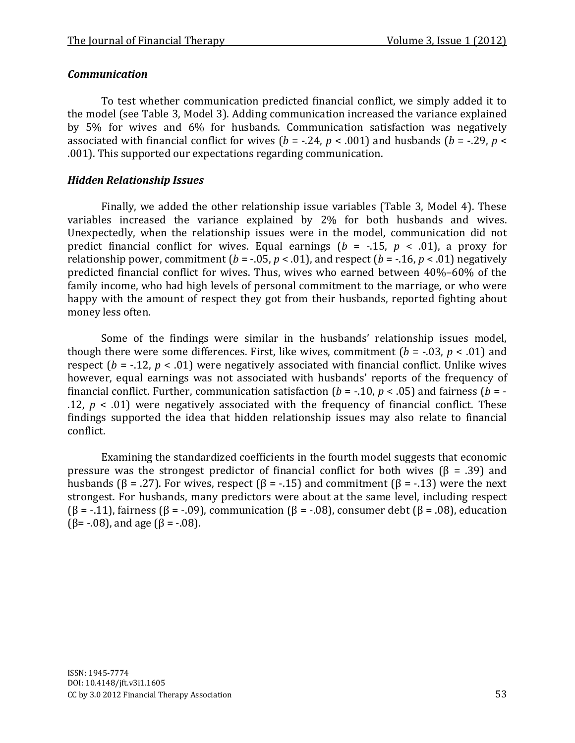# *Communication*

To test whether communication predicted financial conflict, we simply added it to the model (see Table 3, Model 3). Adding communication increased the variance explained by 5% for wives and 6% for husbands. Communication satisfaction was negatively associated with financial conflict for wives ( $b = -.24$ ,  $p < .001$ ) and husbands ( $b = -.29$ ,  $p <$ .001). This supported our expectations regarding communication.

# *Hidden Relationship Issues*

Finally, we added the other relationship issue variables (Table 3, Model 4). These variables increased the variance explained by 2% for both husbands and wives. Unexpectedly, when the relationship issues were in the model, communication did not predict financial conflict for wives. Equal earnings ( $b = -.15$ ,  $p < .01$ ), a proxy for relationship power, commitment ( $b = -0.05$ ,  $p < 0.01$ ), and respect ( $b = -16$ ,  $p < 0.01$ ) negatively predicted financial conflict for wives. Thus, wives who earned between 40%–60% of the family income, who had high levels of personal commitment to the marriage, or who were happy with the amount of respect they got from their husbands, reported fighting about money less often.

Some of the findings were similar in the husbands' relationship issues model, though there were some differences. First, like wives, commitment  $(b = -0.03, p < .01)$  and respect ( $b = -12$ ,  $p < 0.01$ ) were negatively associated with financial conflict. Unlike wives however, equal earnings was not associated with husbands' reports of the frequency of financial conflict. Further, communication satisfaction ( $b = -.10$ ,  $p < .05$ ) and fairness ( $b = -$ .12,  $p < .01$ ) were negatively associated with the frequency of financial conflict. These findings supported the idea that hidden relationship issues may also relate to financial conflict.

Examining the standardized coefficients in the fourth model suggests that economic pressure was the strongest predictor of financial conflict for both wives ( $\beta$  = .39) and husbands (β = .27). For wives, respect (β = -.15) and commitment (β = -.13) were the next strongest. For husbands, many predictors were about at the same level, including respect ( $\beta$  = -.11), fairness ( $\beta$  = -.09), communication ( $\beta$  = -.08), consumer debt ( $\beta$  = .08), education ( $\beta$ = -.08), and age ( $\beta$  = -.08).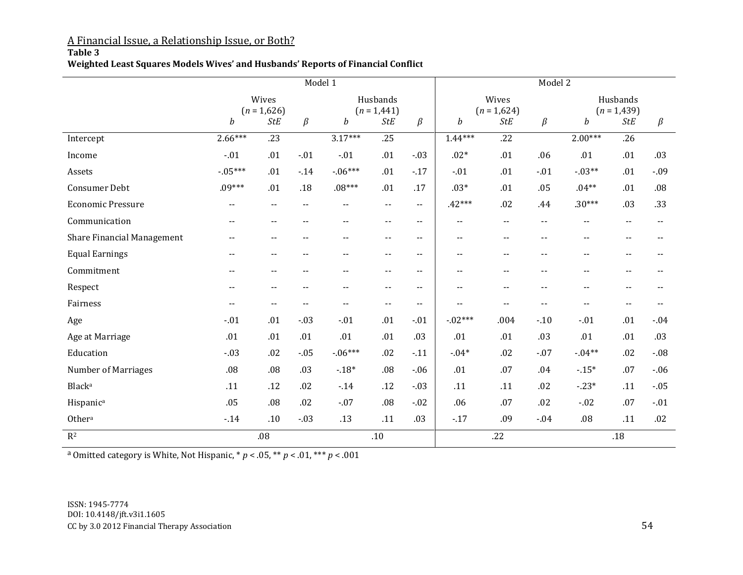## A Financial Issue, a Relationship Issue, or Both?

#### **Table 3**

#### **Weighted Least Squares Models Wives' and Husbands' Reports of Financial Conflict**

|                            | Model 1                    |               |                            |                  |                          | Model 2                    |                            |                          |                           |                            |               |         |
|----------------------------|----------------------------|---------------|----------------------------|------------------|--------------------------|----------------------------|----------------------------|--------------------------|---------------------------|----------------------------|---------------|---------|
|                            | Wives<br>$(n = 1,626)$     |               | Husbands<br>$(n = 1,441)$  |                  |                          | Wives<br>$(n = 1,624)$     |                            |                          | Husbands<br>$(n = 1,439)$ |                            |               |         |
|                            | b                          | <b>StE</b>    | $\beta$                    | $\boldsymbol{b}$ | <b>StE</b>               | $\beta$                    | b                          | <b>StE</b>               | $\beta$                   | $\boldsymbol{b}$           | <b>StE</b>    | $\beta$ |
| Intercept                  | $2.66***$                  | .23           |                            | $3.17***$        | .25                      |                            | $1.44***$                  | .22                      |                           | $2.00***$                  | .26           |         |
| Income                     | $-01$                      | .01           | $-01$                      | $-.01$           | .01                      | $-03$                      | $.02*$                     | .01                      | .06                       | .01                        | .01           | .03     |
| Assets                     | $-05***$                   | .01           | $-14$                      | $-06***$         | .01                      | $-17$                      | $-.01$                     | .01                      | $-01$                     | $-03**$                    | .01           | $-0.09$ |
| <b>Consumer Debt</b>       | $.09***$                   | .01           | .18                        | $.08***$         | .01                      | .17                        | $.03*$                     | .01                      | .05                       | $.04**$                    | .01           | .08     |
| <b>Economic Pressure</b>   | $\sim$ $\sim$              | $- -$         | $\overline{\phantom{a}}$ . | $- -$            | $\overline{\phantom{a}}$ | $\overline{\phantom{a}}$ . | $.42***$                   | .02                      | .44                       | $.30***$                   | .03           | .33     |
| Communication              | $\overline{\phantom{a}}$ . | $- -$         | $-$                        | --               | $\overline{\phantom{a}}$ | $\overline{\phantom{a}}$ . | $\overline{\phantom{a}}$ . | --                       | $\overline{\phantom{a}}$  | $-$                        | $- -$         |         |
| Share Financial Management | $\overline{\phantom{a}}$ . | $- -$         |                            | --               | $\overline{\phantom{a}}$ | $\overline{\phantom{a}}$   | $\overline{\phantom{a}}$ . | --                       | $-$                       | $-$                        | --            |         |
| <b>Equal Earnings</b>      | $- -$                      | $\sim$ $\sim$ | $\sim$                     | $- -$            | $\sim$ $\sim$            | $- -$                      | $\overline{\phantom{a}}$ . | $- -$                    | $\sim$                    | $- -$                      | $- -$         |         |
| Commitment                 | $-$                        | $- -$         |                            | --               | $\overline{\phantom{a}}$ | $\overline{\phantom{a}}$   | $\overline{\phantom{a}}$   | $\overline{\phantom{a}}$ | $\overline{\phantom{a}}$  | $\overline{\phantom{a}}$ . | --            |         |
| Respect                    | $- -$                      | $- -$         |                            | --               | $\overline{\phantom{a}}$ | $\overline{\phantom{a}}$ . | $\overline{\phantom{a}}$ . | $\overline{a}$           | $-$                       | $-$                        | --            |         |
| Fairness                   | $- -$                      | $\sim$ $\sim$ | $\overline{\phantom{a}}$ . | $- -$            | $\overline{\phantom{a}}$ | $\overline{\phantom{a}}$ . | $- -$                      | $- -$                    | $- -$                     | $- -$                      | $\sim$ $\sim$ |         |
| Age                        | $-.01$                     | .01           | $-03$                      | $-.01$           | .01                      | $-01$                      | $-02***$                   | .004                     | $-10$                     | $-01$                      | .01           | $-04$   |
| Age at Marriage            | .01                        | .01           | .01                        | .01              | .01                      | .03                        | .01                        | .01                      | .03                       | .01                        | .01           | .03     |
| Education                  | $-.03$                     | .02           | $-.05$                     | $-06***$         | .02                      | $-11$                      | $-04*$                     | .02                      | $-07$                     | $-04**$                    | .02           | $-.08$  |
| Number of Marriages        | $.08\,$                    | .08           | .03                        | $-18*$           | $.08\,$                  | $-06$                      | .01                        | .07                      | .04                       | $-15*$                     | .07           | $-0.06$ |
| Black <sup>a</sup>         | .11                        | .12           | .02                        | $-14$            | $.12$                    | $-03$                      | .11                        | .11                      | .02                       | $-23*$                     | .11           | $-0.05$ |
| Hispanic <sup>a</sup>      | .05                        | .08           | .02                        | $-.07$           | $.08\,$                  | $-02$                      | .06                        | .07                      | .02                       | $-02$                      | .07           | $-.01$  |
| Othera                     | $-14$                      | .10           | $-0.3$                     | .13              | .11                      | .03                        | $-17$                      | .09                      | $-04$                     | .08                        | .11           | .02     |
| $R^2$                      |                            | .08           |                            |                  | .10                      |                            |                            | .22                      |                           |                            | .18           |         |

a Omitted category is White, Not Hispanic, \* *p* < .05, \*\* *p* < .01, \*\*\* *p* < .001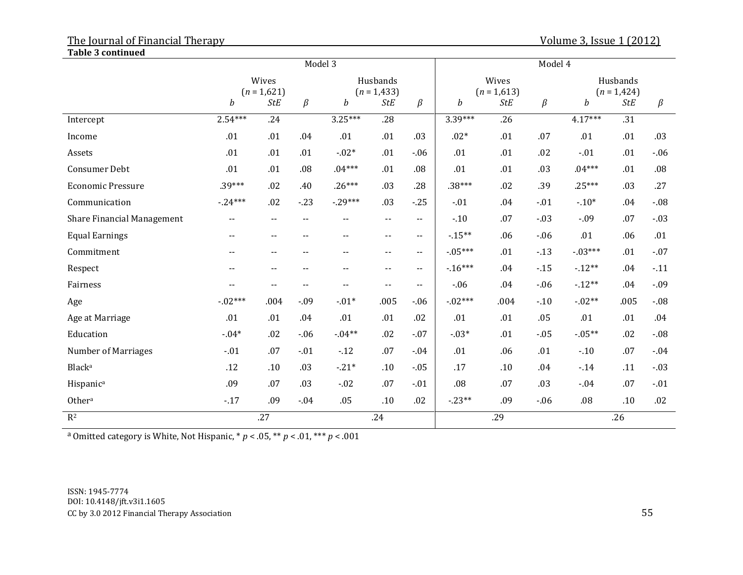| <b>Table 3 continued</b>   |                            |                            |                           |                          |                          |                            |                  |            |                           |               |            |         |  |
|----------------------------|----------------------------|----------------------------|---------------------------|--------------------------|--------------------------|----------------------------|------------------|------------|---------------------------|---------------|------------|---------|--|
|                            | Model 3                    |                            |                           |                          |                          |                            | Model 4          |            |                           |               |            |         |  |
|                            | Wives<br>$(n = 1,621)$     |                            | Husbands<br>$(n = 1,433)$ |                          |                          | Wives<br>$(n = 1,613)$     |                  |            | Husbands<br>$(n = 1,424)$ |               |            |         |  |
|                            | b                          | <b>StE</b>                 | $\beta$                   | b                        | <b>StE</b>               | $\beta$                    | $\boldsymbol{b}$ | <b>StE</b> | $\beta$                   | $\mathfrak b$ | <b>StE</b> | $\beta$ |  |
| Intercept                  | $2.54***$                  | .24                        |                           | $3.25***$                | $\overline{.28}$         |                            | $3.39***$        | .26        |                           | $4.17***$     | .31        |         |  |
| Income                     | .01                        | .01                        | .04                       | .01                      | .01                      | .03                        | $.02*$           | .01        | .07                       | .01           | .01        | .03     |  |
| Assets                     | .01                        | .01                        | .01                       | $-.02*$                  | .01                      | $-06$                      | .01              | .01        | .02                       | $-.01$        | .01        | $-06$   |  |
| Consumer Debt              | .01                        | .01                        | .08                       | $.04***$                 | .01                      | .08                        | .01              | .01        | .03                       | $.04***$      | .01        | .08     |  |
| <b>Economic Pressure</b>   | $.39***$                   | .02                        | .40                       | $.26***$                 | .03                      | .28                        | $.38***$         | .02        | .39                       | $.25***$      | .03        | .27     |  |
| Communication              | $-24***$                   | .02                        | $-23$                     | $-29***$                 | .03                      | $-25$                      | $-01$            | .04        | $-.01$                    | $-10*$        | .04        | $-08$   |  |
| Share Financial Management | $\overline{\phantom{a}}$ . | $\overline{\phantom{a}}$   | $-$                       | $\sim$ $\sim$            | $\overline{\phantom{a}}$ | $\overline{\phantom{a}}$   | $-10$            | .07        | $-0.3$                    | $-0.09$       | .07        | $-03$   |  |
| <b>Equal Earnings</b>      | $- -$                      | $\overline{\phantom{a}}$   | $- -$                     | $\sim$ $\sim$            | $\overline{\phantom{a}}$ | $\overline{\phantom{a}}$   | $-15**$          | .06        | $-06$                     | .01           | .06        | .01     |  |
| Commitment                 | $\overline{\phantom{a}}$ . | $\sim$ $\sim$              | $- -$                     | $\sim$ $\sim$            | $\overline{\phantom{a}}$ | $\overline{\phantom{a}}$ . | $-05***$         | .01        | $-13$                     | $-03***$      | .01        | $-07$   |  |
| Respect                    | $\overline{\phantom{a}}$ . | $\overline{\phantom{a}}$   | $- -$                     | $\overline{\phantom{a}}$ | $\overline{\phantom{a}}$ | $\overline{\phantom{a}}$ . | $-16***$         | .04        | $-15$                     | $-12**$       | .04        | $-11$   |  |
| Fairness                   | $\overline{\phantom{a}}$   | $\overline{\phantom{a}}$ . | $- -$                     | $-$                      | $\overline{\phantom{a}}$ | $\overline{\phantom{a}}$ . | $-06$            | .04        | $-06$                     | $-12**$       | .04        | $-0.9$  |  |
| Age                        | $-02***$                   | .004                       | $-0.09$                   | $-01*$                   | .005                     | $-06$                      | $-02***$         | .004       | $-10$                     | $-02**$       | .005       | $-08$   |  |
| Age at Marriage            | .01                        | .01                        | .04                       | .01                      | .01                      | .02                        | .01              | .01        | .05                       | .01           | .01        | .04     |  |
| Education                  | $-04*$                     | .02                        | $-06$                     | $-04**$                  | .02                      | $-.07$                     | $-03*$           | .01        | $-0.05$                   | $-05**$       | .02        | $-08$   |  |
| <b>Number of Marriages</b> | $-01$                      | .07                        | $-01$                     | $-12$                    | .07                      | $-04$                      | .01              | .06        | .01                       | $-10$         | .07        | $-04$   |  |
| Blacka                     | .12                        | .10                        | .03                       | $-21*$                   | .10                      | $-0.05$                    | .17              | .10        | .04                       | $-14$         | .11        | $-03$   |  |
| Hispanic <sup>a</sup>      | .09                        | .07                        | .03                       | $-02$                    | .07                      | $-01$                      | .08              | .07        | .03                       | $-04$         | .07        | $-01$   |  |
| Othera                     | $-17$                      | .09                        | $-04$                     | .05                      | $.10$                    | .02                        | $-23**$          | .09        | $-06$                     | .08           | .10        | .02     |  |
| $R^2$                      | .27                        |                            |                           | .24                      |                          |                            | .29              |            |                           | .26           |            |         |  |

<sup>a</sup> Omitted category is White, Not Hispanic,  $* p < .05, ** p < .01, ** p < .001$ 

ISSN: 1945-7774 DOI: 10.4148/jft.v3i1.1605 CC by 3.0 2012 Financial Therapy Association 55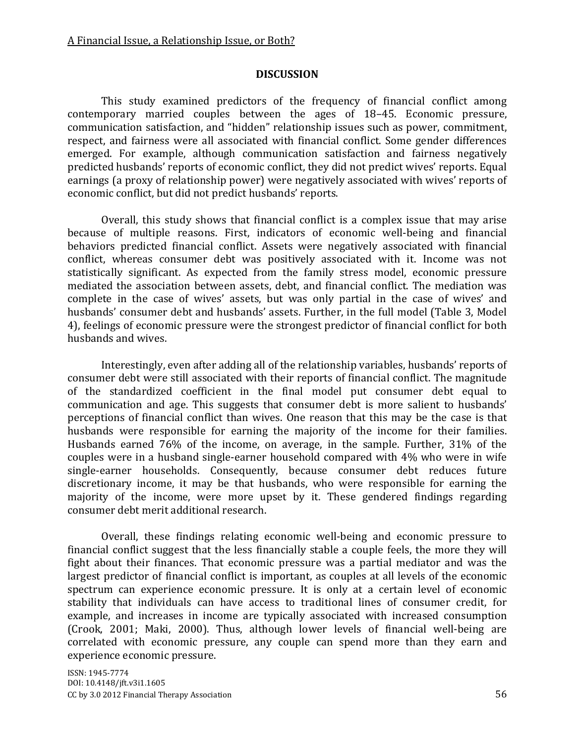#### **DISCUSSION**

This study examined predictors of the frequency of financial conflict among contemporary married couples between the ages of 18–45. Economic pressure, communication satisfaction, and "hidden" relationship issues such as power, commitment, respect, and fairness were all associated with financial conflict. Some gender differences emerged. For example, although communication satisfaction and fairness negatively predicted husbands' reports of economic conflict, they did not predict wives' reports. Equal earnings (a proxy of relationship power) were negatively associated with wives' reports of economic conflict, but did not predict husbands' reports.

Overall, this study shows that financial conflict is a complex issue that may arise because of multiple reasons. First, indicators of economic well-being and financial behaviors predicted financial conflict. Assets were negatively associated with financial conflict, whereas consumer debt was positively associated with it. Income was not statistically significant. As expected from the family stress model, economic pressure mediated the association between assets, debt, and financial conflict. The mediation was complete in the case of wives' assets, but was only partial in the case of wives' and husbands' consumer debt and husbands' assets. Further, in the full model (Table 3, Model 4), feelings of economic pressure were the strongest predictor of financial conflict for both husbands and wives.

Interestingly, even after adding all of the relationship variables, husbands' reports of consumer debt were still associated with their reports of financial conflict. The magnitude of the standardized coefficient in the final model put consumer debt equal to communication and age. This suggests that consumer debt is more salient to husbands' perceptions of financial conflict than wives. One reason that this may be the case is that husbands were responsible for earning the majority of the income for their families. Husbands earned 76% of the income, on average, in the sample. Further, 31% of the couples were in a husband single-earner household compared with 4% who were in wife single-earner households. Consequently, because consumer debt reduces future discretionary income, it may be that husbands, who were responsible for earning the majority of the income, were more upset by it. These gendered findings regarding consumer debt merit additional research.

Overall, these findings relating economic well-being and economic pressure to financial conflict suggest that the less financially stable a couple feels, the more they will fight about their finances. That economic pressure was a partial mediator and was the largest predictor of financial conflict is important, as couples at all levels of the economic spectrum can experience economic pressure. It is only at a certain level of economic stability that individuals can have access to traditional lines of consumer credit, for example, and increases in income are typically associated with increased consumption (Crook, 2001; Maki, 2000). Thus, although lower levels of financial well-being are correlated with economic pressure, any couple can spend more than they earn and experience economic pressure.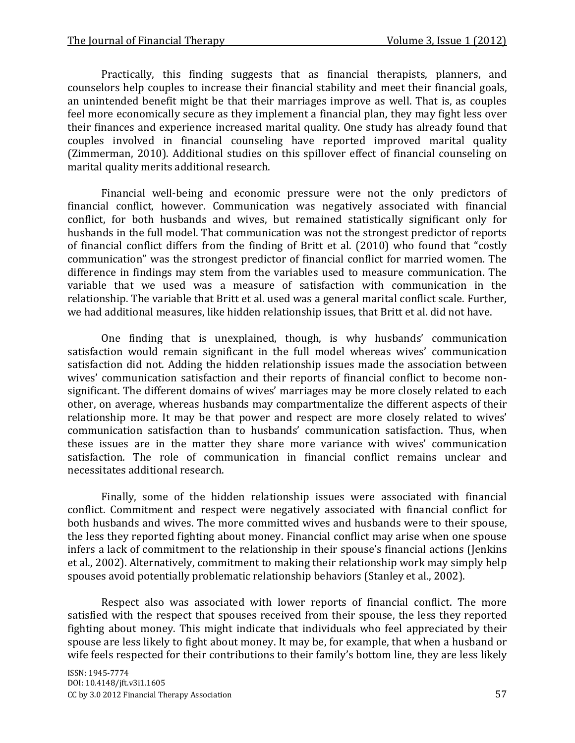Practically, this finding suggests that as financial therapists, planners, and counselors help couples to increase their financial stability and meet their financial goals, an unintended benefit might be that their marriages improve as well. That is, as couples feel more economically secure as they implement a financial plan, they may fight less over their finances and experience increased marital quality. One study has already found that couples involved in financial counseling have reported improved marital quality (Zimmerman, 2010). Additional studies on this spillover effect of financial counseling on marital quality merits additional research.

Financial well-being and economic pressure were not the only predictors of financial conflict, however. Communication was negatively associated with financial conflict, for both husbands and wives, but remained statistically significant only for husbands in the full model. That communication was not the strongest predictor of reports of financial conflict differs from the finding of Britt et al. (2010) who found that "costly communication" was the strongest predictor of financial conflict for married women. The difference in findings may stem from the variables used to measure communication. The variable that we used was a measure of satisfaction with communication in the relationship. The variable that Britt et al. used was a general marital conflict scale. Further, we had additional measures, like hidden relationship issues, that Britt et al. did not have.

One finding that is unexplained, though, is why husbands' communication satisfaction would remain significant in the full model whereas wives' communication satisfaction did not. Adding the hidden relationship issues made the association between wives' communication satisfaction and their reports of financial conflict to become nonsignificant. The different domains of wives' marriages may be more closely related to each other, on average, whereas husbands may compartmentalize the different aspects of their relationship more. It may be that power and respect are more closely related to wives' communication satisfaction than to husbands' communication satisfaction. Thus, when these issues are in the matter they share more variance with wives' communication satisfaction. The role of communication in financial conflict remains unclear and necessitates additional research.

Finally, some of the hidden relationship issues were associated with financial conflict. Commitment and respect were negatively associated with financial conflict for both husbands and wives. The more committed wives and husbands were to their spouse, the less they reported fighting about money. Financial conflict may arise when one spouse infers a lack of commitment to the relationship in their spouse's financial actions (Jenkins et al., 2002). Alternatively, commitment to making their relationship work may simply help spouses avoid potentially problematic relationship behaviors (Stanley et al., 2002).

Respect also was associated with lower reports of financial conflict. The more satisfied with the respect that spouses received from their spouse, the less they reported fighting about money. This might indicate that individuals who feel appreciated by their spouse are less likely to fight about money. It may be, for example, that when a husband or wife feels respected for their contributions to their family's bottom line, they are less likely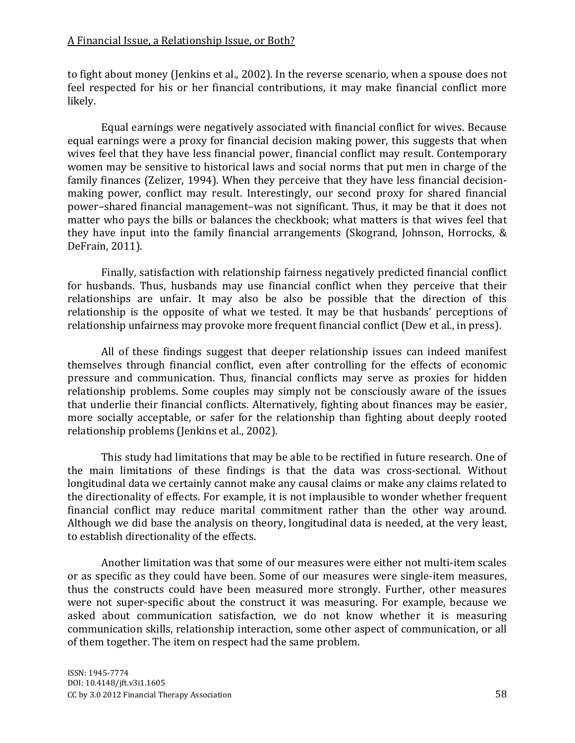to fight about money (Jenkins et al., 2002). In the reverse scenario, when a spouse does not feel respected for his or her financial contributions, it may make financial conflict more likely.

Equal earnings were negatively associated with financial conflict for wives. Because equal earnings were a proxy for financial decision making power, this suggests that when wives feel that they have less financial power, financial conflict may result. Contemporary women may be sensitive to historical laws and social norms that put men in charge of the family finances (Zelizer, 1994). When they perceive that they have less financial decisionmaking power, conflict may result. Interestingly, our second proxy for shared financial power–shared financial management–was not significant. Thus, it may be that it does not matter who pays the bills or balances the checkbook; what matters is that wives feel that they have input into the family financial arrangements (Skogrand, Johnson, Horrocks, & DeFrain, 2011).

Finally, satisfaction with relationship fairness negatively predicted financial conflict for husbands. Thus, husbands may use financial conflict when they perceive that their relationships are unfair. It may also be also be possible that the direction of this relationship is the opposite of what we tested. It may be that husbands' perceptions of relationship unfairness may provoke more frequent financial conflict (Dew et al., in press).

All of these findings suggest that deeper relationship issues can indeed manifest themselves through financial conflict, even after controlling for the effects of economic pressure and communication. Thus, financial conflicts may serve as proxies for hidden relationship problems. Some couples may simply not be consciously aware of the issues that underlie their financial conflicts. Alternatively, fighting about finances may be easier, more socially acceptable, or safer for the relationship than fighting about deeply rooted relationship problems (Jenkins et al., 2002).

This study had limitations that may be able to be rectified in future research. One of the main limitations of these findings is that the data was cross-sectional. Without longitudinal data we certainly cannot make any causal claims or make any claims related to the directionality of effects. For example, it is not implausible to wonder whether frequent financial conflict may reduce marital commitment rather than the other way around. Although we did base the analysis on theory, longitudinal data is needed, at the very least, to establish directionality of the effects.

Another limitation was that some of our measures were either not multi-item scales or as specific as they could have been. Some of our measures were single-item measures, thus the constructs could have been measured more strongly. Further, other measures were not super-specific about the construct it was measuring. For example, because we asked about communication satisfaction, we do not know whether it is measuring communication skills, relationship interaction, some other aspect of communication, or all of them together. The item on respect had the same problem.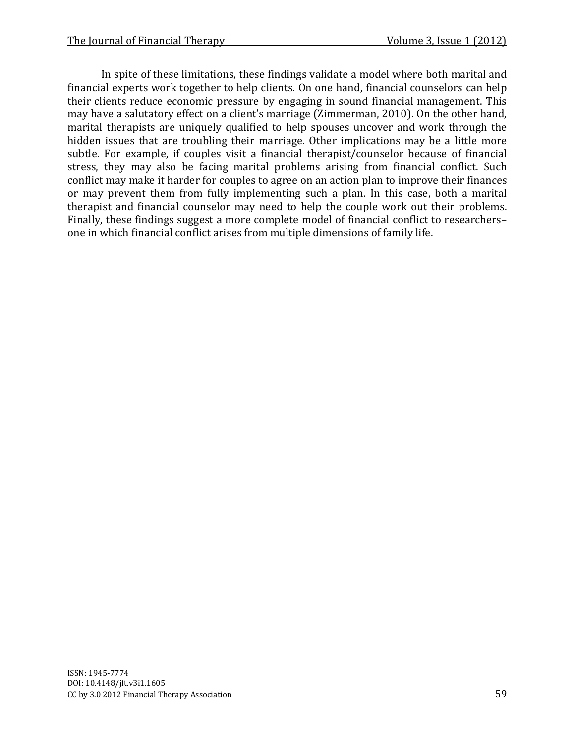In spite of these limitations, these findings validate a model where both marital and financial experts work together to help clients. On one hand, financial counselors can help their clients reduce economic pressure by engaging in sound financial management. This may have a salutatory effect on a client's marriage (Zimmerman, 2010). On the other hand, marital therapists are uniquely qualified to help spouses uncover and work through the hidden issues that are troubling their marriage. Other implications may be a little more subtle. For example, if couples visit a financial therapist/counselor because of financial stress, they may also be facing marital problems arising from financial conflict. Such conflict may make it harder for couples to agree on an action plan to improve their finances or may prevent them from fully implementing such a plan. In this case, both a marital therapist and financial counselor may need to help the couple work out their problems. Finally, these findings suggest a more complete model of financial conflict to researchers– one in which financial conflict arises from multiple dimensions of family life.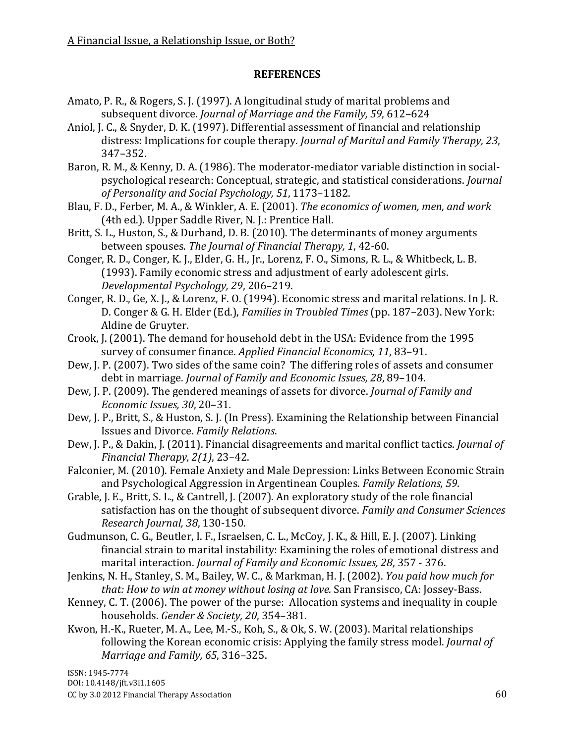### **REFERENCES**

- Amato, P. R., & Rogers, S. J. (1997). A longitudinal study of marital problems and subsequent divorce. *Journal of Marriage and the Family, 59*, 612–624
- Aniol, J. C., & Snyder, D. K. (1997). Differential assessment of financial and relationship distress: Implications for couple therapy. *Journal of Marital and Family Therapy, 23*, 347–352.
- Baron, R. M., & Kenny, D. A. (1986). The moderator-mediator variable distinction in socialpsychological research: Conceptual, strategic, and statistical considerations. *Journal of Personality and Social Psychology, 51*, 1173–1182.
- Blau, F. D., Ferber, M. A., & Winkler, A. E. (2001). *The economics of women, men, and work* (4th ed.). Upper Saddle River, N. J.: Prentice Hall.
- Britt, S. L., Huston, S., & Durband, D. B. (2010). The determinants of money arguments between spouses. *The Journal of Financial Therapy, 1*, 42-60.
- Conger, R. D., Conger, K. J., Elder, G. H., Jr., Lorenz, F. O., Simons, R. L., & Whitbeck, L. B. (1993). Family economic stress and adjustment of early adolescent girls. *Developmental Psychology, 29*, 206–219.
- Conger, R. D., Ge, X. J., & Lorenz, F. O. (1994). Economic stress and marital relations. In J. R. D. Conger & G. H. Elder (Ed.), *Families in Troubled Times* (pp. 187–203). New York: Aldine de Gruyter.
- Crook, J. (2001). The demand for household debt in the USA: Evidence from the 1995 survey of consumer finance. *Applied Financial Economics, 11*, 83–91.
- Dew, J. P. (2007). Two sides of the same coin? The differing roles of assets and consumer debt in marriage. *Journal of Family and Economic Issues, 28*, 89–104.
- Dew, J. P. (2009). The gendered meanings of assets for divorce. *Journal of Family and Economic Issues, 30*, 20–31*.*
- Dew, J. P., Britt, S., & Huston, S. J. (In Press). Examining the Relationship between Financial Issues and Divorce. *Family Relations*.
- Dew, J. P., & Dakin, J. (2011). Financial disagreements and marital conflict tactics. *Journal of Financial Therapy, 2(1)*, 23–42.
- Falconier, M. (2010). Female Anxiety and Male Depression: Links Between Economic Strain and Psychological Aggression in Argentinean Couples. *Family Relations, 59*.
- Grable, J. E., Britt, S. L., & Cantrell, J. (2007). An exploratory study of the role financial satisfaction has on the thought of subsequent divorce. *Family and Consumer Sciences Research Journal, 38*, 130-150.
- Gudmunson, C. G., Beutler, I. F., Israelsen, C. L., McCoy, J. K., & Hill, E. J. (2007). Linking financial strain to marital instability: Examining the roles of emotional distress and marital interaction. *Journal of Family and Economic Issues, 28*, 357 - 376.
- Jenkins, N. H., Stanley, S. M., Bailey, W. C., & Markman, H. J. (2002). *You paid how much for that: How to win at money without losing at love.* San Fransisco, CA: Jossey-Bass.
- Kenney, C. T. (2006). The power of the purse: Allocation systems and inequality in couple households. *Gender & Society, 20*, 354–381.
- Kwon, H.-K., Rueter, M. A., Lee, M.-S., Koh, S., & Ok, S. W. (2003). Marital relationships following the Korean economic crisis: Applying the family stress model. *Journal of Marriage and Family, 65*, 316–325.